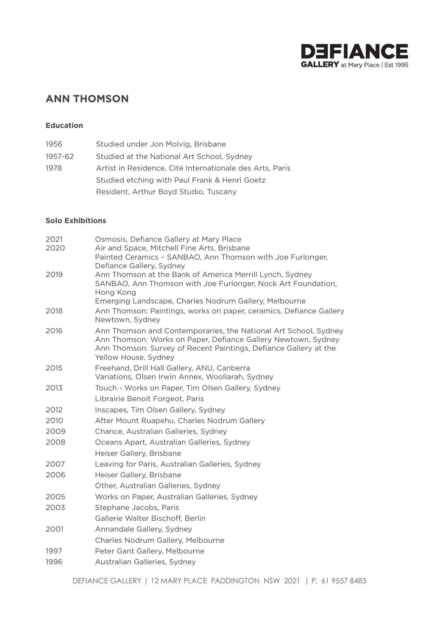

# **ANN THOMSON**

# **Education**

| 1956    | Studied under Jon Molvig, Brisbane                       |
|---------|----------------------------------------------------------|
| 1957-62 | Studied at the National Art School, Sydney               |
| 1978    | Artist in Residence, Cité Internationale des Arts, Paris |
|         | Studied etching with Paul Frank & Henri Goetz            |
|         | Resident, Arthur Boyd Studio, Tuscany                    |

### **Solo Exhibitions**

| 2021 | Osmosis, Defiance Gallery at Mary Place                                                                                                                                                                                      |
|------|------------------------------------------------------------------------------------------------------------------------------------------------------------------------------------------------------------------------------|
| 2020 | Air and Space, Mitchell Fine Arts, Brisbane                                                                                                                                                                                  |
|      | Painted Ceramics - SANBAO, Ann Thomson with Joe Furlonger,<br>Defiance Gallery, Sydney                                                                                                                                       |
| 2019 | Ann Thomson at the Bank of America Merrill Lynch, Sydney                                                                                                                                                                     |
|      | SANBAO, Ann Thomson with Joe Furlonger, Nock Art Foundation,                                                                                                                                                                 |
|      | Hong Kong                                                                                                                                                                                                                    |
|      | Emerging Landscape, Charles Nodrum Gallery, Melbourne                                                                                                                                                                        |
| 2018 | Ann Thomson: Paintings, works on paper, ceramics, Defiance Gallery<br>Newtown, Sydney                                                                                                                                        |
| 2016 | Ann Thomson and Contemporaries, the National Art School, Sydney<br>Ann Thomson: Works on Paper, Defiance Gallery Newtown, Sydney<br>Ann Thomson: Survey of Recent Paintings, Defiance Gallery at the<br>Yellow House, Sydney |
| 2015 | Freehand, Drill Hall Gallery, ANU, Canberra                                                                                                                                                                                  |
|      | Variations, Olsen Irwin Annex, Woollarah, Sydney                                                                                                                                                                             |
| 2013 | Touch - Works on Paper, Tim Olsen Gallery, Sydney                                                                                                                                                                            |
|      | Librairie Benoit Forgeot, Paris                                                                                                                                                                                              |
| 2012 | Inscapes, Tim Olsen Gallery, Sydney                                                                                                                                                                                          |
| 2010 | After Mount Ruapehu, Charles Nodrum Gallery                                                                                                                                                                                  |
| 2009 | Chance, Australian Galleries, Sydney                                                                                                                                                                                         |
| 2008 | Oceans Apart, Australian Galleries, Sydney                                                                                                                                                                                   |
|      | Heiser Gallery, Brisbane                                                                                                                                                                                                     |
| 2007 | Leaving for Paris, Australian Galleries, Sydney                                                                                                                                                                              |
| 2006 | Heiser Gallery, Brisbane                                                                                                                                                                                                     |
|      | Other, Australian Galleries, Sydney                                                                                                                                                                                          |
| 2005 | Works on Paper, Australian Galleries, Sydney                                                                                                                                                                                 |
| 2003 | Stephane Jacobs, Paris                                                                                                                                                                                                       |
|      | Gallerie Walter Bischoff, Berlin                                                                                                                                                                                             |
| 2001 | Annandale Gallery, Sydney                                                                                                                                                                                                    |
|      | Charles Nodrum Gallery, Melbourne                                                                                                                                                                                            |
| 1997 | Peter Gant Gallery, Melbourne                                                                                                                                                                                                |
| 1996 | Australian Galleries, Sydney                                                                                                                                                                                                 |
|      |                                                                                                                                                                                                                              |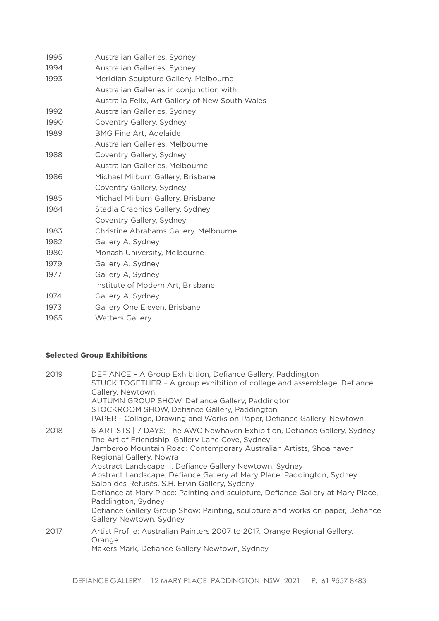| 1995 | Australian Galleries, Sydney                    |
|------|-------------------------------------------------|
| 1994 | Australian Galleries, Sydney                    |
| 1993 | Meridian Sculpture Gallery, Melbourne           |
|      | Australian Galleries in conjunction with        |
|      | Australia Felix, Art Gallery of New South Wales |
| 1992 | Australian Galleries, Sydney                    |
| 1990 | Coventry Gallery, Sydney                        |
| 1989 | <b>BMG Fine Art, Adelaide</b>                   |
|      | Australian Galleries, Melbourne                 |
| 1988 | Coventry Gallery, Sydney                        |
|      | Australian Galleries, Melbourne                 |
| 1986 | Michael Milburn Gallery, Brisbane               |
|      | Coventry Gallery, Sydney                        |
| 1985 | Michael Milburn Gallery, Brisbane               |
| 1984 | Stadia Graphics Gallery, Sydney                 |
|      | Coventry Gallery, Sydney                        |
| 1983 | Christine Abrahams Gallery, Melbourne           |
| 1982 | Gallery A, Sydney                               |
| 1980 | Monash University, Melbourne                    |
| 1979 | Gallery A, Sydney                               |
| 1977 | Gallery A, Sydney                               |
|      | Institute of Modern Art, Brisbane               |
| 1974 | Gallery A, Sydney                               |
| 1973 | Gallery One Eleven, Brisbane                    |
| 1965 | <b>Watters Gallery</b>                          |

# **Selected Group Exhibitions**

| 2019 | DEFIANCE - A Group Exhibition, Defiance Gallery, Paddington<br>STUCK TOGETHER - A group exhibition of collage and assemblage, Defiance<br>Gallery, Newtown<br>AUTUMN GROUP SHOW, Defiance Gallery, Paddington<br>STOCKROOM SHOW, Defiance Gallery, Paddington<br>PAPER - Collage, Drawing and Works on Paper, Defiance Gallery, Newtown                                                                                                                                                                                                                                                                                                    |
|------|--------------------------------------------------------------------------------------------------------------------------------------------------------------------------------------------------------------------------------------------------------------------------------------------------------------------------------------------------------------------------------------------------------------------------------------------------------------------------------------------------------------------------------------------------------------------------------------------------------------------------------------------|
| 2018 | 6 ARTISTS   7 DAYS: The AWC Newhaven Exhibition, Defiance Gallery, Sydney<br>The Art of Friendship, Gallery Lane Cove, Sydney<br>Jamberoo Mountain Road: Contemporary Australian Artists, Shoalhaven<br>Regional Gallery, Nowra<br>Abstract Landscape II, Defiance Gallery Newtown, Sydney<br>Abstract Landscape, Defiance Gallery at Mary Place, Paddington, Sydney<br>Salon des Refusés, S.H. Ervin Gallery, Sydeny<br>Defiance at Mary Place: Painting and sculpture, Defiance Gallery at Mary Place,<br>Paddington, Sydney<br>Defiance Gallery Group Show: Painting, sculpture and works on paper, Defiance<br>Gallery Newtown, Sydney |
| 2017 | Artist Profile: Australian Painters 2007 to 2017, Orange Regional Gallery,<br>Orange<br>Makers Mark, Defiance Gallery Newtown, Sydney                                                                                                                                                                                                                                                                                                                                                                                                                                                                                                      |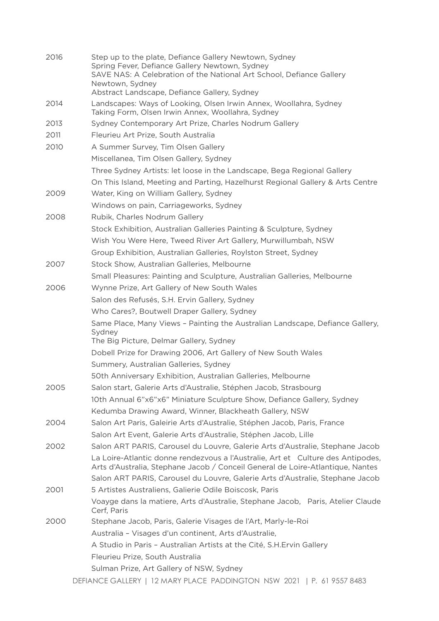| 2016 | Step up to the plate, Defiance Gallery Newtown, Sydney<br>Spring Fever, Defiance Gallery Newtown, Sydney<br>SAVE NAS: A Celebration of the National Art School, Defiance Gallery |
|------|----------------------------------------------------------------------------------------------------------------------------------------------------------------------------------|
|      | Newtown, Sydney<br>Abstract Landscape, Defiance Gallery, Sydney                                                                                                                  |
| 2014 | Landscapes: Ways of Looking, Olsen Irwin Annex, Woollahra, Sydney<br>Taking Form, Olsen Irwin Annex, Woollahra, Sydney                                                           |
| 2013 | Sydney Contemporary Art Prize, Charles Nodrum Gallery                                                                                                                            |
| 2011 | Fleurieu Art Prize, South Australia                                                                                                                                              |
| 2010 | A Summer Survey, Tim Olsen Gallery                                                                                                                                               |
|      | Miscellanea, Tim Olsen Gallery, Sydney                                                                                                                                           |
|      | Three Sydney Artists: let loose in the Landscape, Bega Regional Gallery                                                                                                          |
|      | On This Island, Meeting and Parting, Hazelhurst Regional Gallery & Arts Centre                                                                                                   |
| 2009 | Water, King on William Gallery, Sydney                                                                                                                                           |
|      | Windows on pain, Carriageworks, Sydney                                                                                                                                           |
| 2008 | Rubik, Charles Nodrum Gallery                                                                                                                                                    |
|      | Stock Exhibition, Australian Galleries Painting & Sculpture, Sydney                                                                                                              |
|      | Wish You Were Here, Tweed River Art Gallery, Murwillumbah, NSW                                                                                                                   |
|      | Group Exhibition, Australian Galleries, Roylston Street, Sydney                                                                                                                  |
| 2007 | Stock Show, Australian Galleries, Melbourne                                                                                                                                      |
|      | Small Pleasures: Painting and Sculpture, Australian Galleries, Melbourne                                                                                                         |
| 2006 | Wynne Prize, Art Gallery of New South Wales                                                                                                                                      |
|      | Salon des Refusés, S.H. Ervin Gallery, Sydney                                                                                                                                    |
|      | Who Cares?, Boutwell Draper Gallery, Sydney                                                                                                                                      |
|      | Same Place, Many Views - Painting the Australian Landscape, Defiance Gallery,<br>Sydney<br>The Big Picture, Delmar Gallery, Sydney                                               |
|      | Dobell Prize for Drawing 2006, Art Gallery of New South Wales                                                                                                                    |
|      | Summery, Australian Galleries, Sydney                                                                                                                                            |
|      | 50th Anniversary Exhibition, Australian Galleries, Melbourne                                                                                                                     |
| 2005 | Salon start, Galerie Arts d'Australie, Stéphen Jacob, Strasbourg                                                                                                                 |
|      | 10th Annual 6"x6"x6" Miniature Sculpture Show, Defiance Gallery, Sydney                                                                                                          |
|      | Kedumba Drawing Award, Winner, Blackheath Gallery, NSW                                                                                                                           |
| 2004 | Salon Art Paris, Galeirie Arts d'Australie, Stéphen Jacob, Paris, France                                                                                                         |
|      | Salon Art Event, Galerie Arts d'Australie, Stéphen Jacob, Lille                                                                                                                  |
| 2002 | Salon ART PARIS, Carousel du Louvre, Galerie Arts d'Australie, Stephane Jacob                                                                                                    |
|      | La Loire-Atlantic donne rendezvous a l'Australie, Art et Culture des Antipodes,<br>Arts d'Australia, Stephane Jacob / Conceil General de Loire-Atlantique, Nantes                |
|      | Salon ART PARIS, Carousel du Louvre, Galerie Arts d'Australie, Stephane Jacob                                                                                                    |
| 2001 | 5 Artistes Australiens, Galierie Odile Boiscosk, Paris                                                                                                                           |
|      | Voayge dans la matiere, Arts d'Australie, Stephane Jacob, Paris, Atelier Claude<br>Cerf, Paris                                                                                   |
| 2000 | Stephane Jacob, Paris, Galerie Visages de l'Art, Marly-le-Roi                                                                                                                    |
|      | Australia - Visages d'un continent, Arts d'Australie,                                                                                                                            |
|      | A Studio in Paris - Australian Artists at the Cité, S.H. Ervin Gallery                                                                                                           |
|      | Fleurieu Prize, South Australia                                                                                                                                                  |
|      | Sulman Prize, Art Gallery of NSW, Sydney                                                                                                                                         |
|      | DEFIANCE GALLERY   12 MARY PLACE PADDINGTON NSW 2021   P. 61 9557 8483                                                                                                           |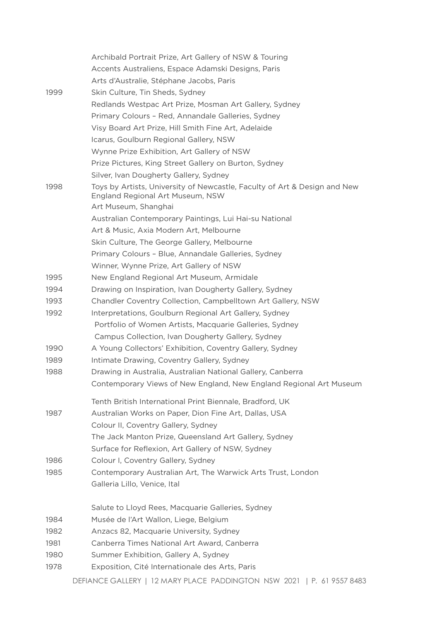|      | Archibald Portrait Prize, Art Gallery of NSW & Touring                                                        |
|------|---------------------------------------------------------------------------------------------------------------|
|      | Accents Australiens, Espace Adamski Designs, Paris                                                            |
|      | Arts d'Australie, Stéphane Jacobs, Paris                                                                      |
| 1999 | Skin Culture, Tin Sheds, Sydney                                                                               |
|      | Redlands Westpac Art Prize, Mosman Art Gallery, Sydney                                                        |
|      | Primary Colours - Red, Annandale Galleries, Sydney                                                            |
|      | Visy Board Art Prize, Hill Smith Fine Art, Adelaide                                                           |
|      | Icarus, Goulburn Regional Gallery, NSW                                                                        |
|      | Wynne Prize Exhibition, Art Gallery of NSW                                                                    |
|      | Prize Pictures, King Street Gallery on Burton, Sydney                                                         |
|      | Silver, Ivan Dougherty Gallery, Sydney                                                                        |
| 1998 | Toys by Artists, University of Newcastle, Faculty of Art & Design and New<br>England Regional Art Museum, NSW |
|      | Art Museum, Shanghai                                                                                          |
|      | Australian Contemporary Paintings, Lui Hai-su National                                                        |
|      | Art & Music, Axia Modern Art, Melbourne                                                                       |
|      | Skin Culture, The George Gallery, Melbourne                                                                   |
|      | Primary Colours - Blue, Annandale Galleries, Sydney                                                           |
|      | Winner, Wynne Prize, Art Gallery of NSW                                                                       |
| 1995 | New England Regional Art Museum, Armidale                                                                     |
| 1994 | Drawing on Inspiration, Ivan Dougherty Gallery, Sydney                                                        |
| 1993 | Chandler Coventry Collection, Campbelltown Art Gallery, NSW                                                   |
| 1992 | Interpretations, Goulburn Regional Art Gallery, Sydney                                                        |
|      | Portfolio of Women Artists, Macquarie Galleries, Sydney                                                       |
|      | Campus Collection, Ivan Dougherty Gallery, Sydney                                                             |
| 1990 | A Young Collectors' Exhibition, Coventry Gallery, Sydney                                                      |
| 1989 | Intimate Drawing, Coventry Gallery, Sydney                                                                    |
| 1988 | Drawing in Australia, Australian National Gallery, Canberra                                                   |
|      | Contemporary Views of New England, New England Regional Art Museum                                            |
|      | Tenth British International Print Biennale, Bradford, UK                                                      |
| 1987 | Australian Works on Paper, Dion Fine Art, Dallas, USA                                                         |
|      | Colour II, Coventry Gallery, Sydney                                                                           |
|      | The Jack Manton Prize, Queensland Art Gallery, Sydney                                                         |
|      | Surface for Reflexion, Art Gallery of NSW, Sydney                                                             |
| 1986 | Colour I, Coventry Gallery, Sydney                                                                            |
| 1985 | Contemporary Australian Art, The Warwick Arts Trust, London                                                   |
|      | Galleria Lillo, Venice, Ital                                                                                  |
|      | Salute to Lloyd Rees, Macquarie Galleries, Sydney                                                             |
| 1984 | Musée de l'Art Wallon, Liege, Belgium                                                                         |
| 1982 | Anzacs 82, Macquarie University, Sydney                                                                       |
| 1981 | Canberra Times National Art Award, Canberra                                                                   |
| 1980 | Summer Exhibition, Gallery A, Sydney                                                                          |
| 1978 | Exposition, Cité Internationale des Arts, Paris                                                               |
|      |                                                                                                               |

DEFIANCE GALLERY | 12 MARY PLACE PADDINGTON NSW 2021 | P. 61 9557 8483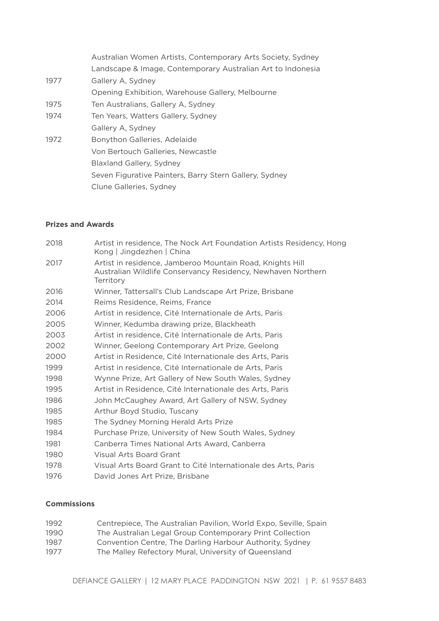|      | Australian Women Artists, Contemporary Arts Society, Sydney |
|------|-------------------------------------------------------------|
|      | Landscape & Image, Contemporary Australian Art to Indonesia |
| 1977 | Gallery A, Sydney                                           |
|      | Opening Exhibition, Warehouse Gallery, Melbourne            |
| 1975 | Ten Australians, Gallery A, Sydney                          |
| 1974 | Ten Years, Watters Gallery, Sydney                          |
|      | Gallery A, Sydney                                           |
| 1972 | Bonython Galleries, Adelaide                                |
|      | Von Bertouch Galleries, Newcastle                           |
|      | <b>Blaxland Gallery, Sydney</b>                             |
|      | Seven Figurative Painters, Barry Stern Gallery, Sydney      |
|      | Clune Galleries, Sydney                                     |
|      |                                                             |

#### **Prizes and Awards**

| 2018 | Artist in residence, The Nock Art Foundation Artists Residency, Hong<br>Kong   Jingdezhen   China                                      |
|------|----------------------------------------------------------------------------------------------------------------------------------------|
| 2017 | Artist in residence, Jamberoo Mountain Road, Knights Hill<br>Australian Wildlife Conservancy Residency, Newhaven Northern<br>Territorv |
| 2016 | Winner, Tattersall's Club Landscape Art Prize, Brisbane                                                                                |
| 2014 | Reims Residence, Reims, France                                                                                                         |
| 2006 | Artist in residence, Cité Internationale de Arts, Paris                                                                                |
| 2005 | Winner, Kedumba drawing prize, Blackheath                                                                                              |
| 2003 | Artist in residence, Cité Internationale de Arts, Paris                                                                                |
| 2002 | Winner, Geelong Contemporary Art Prize, Geelong                                                                                        |
| 2000 | Artist in Residence, Cité Internationale des Arts, Paris                                                                               |
| 1999 | Artist in residence, Cité Internationale de Arts, Paris                                                                                |
| 1998 | Wynne Prize, Art Gallery of New South Wales, Sydney                                                                                    |
| 1995 | Artist in Residence, Cité Internationale des Arts, Paris                                                                               |
| 1986 | John McCaughey Award, Art Gallery of NSW, Sydney                                                                                       |
| 1985 | Arthur Boyd Studio, Tuscany                                                                                                            |
| 1985 | The Sydney Morning Herald Arts Prize                                                                                                   |
| 1984 | Purchase Prize, University of New South Wales, Sydney                                                                                  |
| 1981 | Canberra Times National Arts Award, Canberra                                                                                           |
| 1980 | Visual Arts Board Grant                                                                                                                |
| 1978 | Visual Arts Board Grant to Cité Internationale des Arts, Paris                                                                         |
| 1976 | David Jones Art Prize, Brisbane                                                                                                        |
|      |                                                                                                                                        |

## **Commissions**

| 1992  | Centrepiece, The Australian Pavilion, World Expo, Seville, Spain |
|-------|------------------------------------------------------------------|
| 1990. | The Australian Legal Group Contemporary Print Collection         |
| 1987  | Convention Centre, The Darling Harbour Authority, Sydney         |
| 1977  | The Malley Refectory Mural, University of Queensland             |